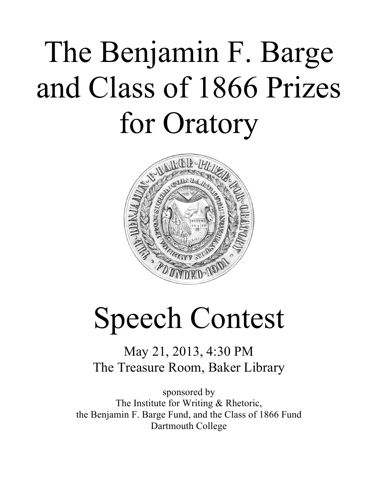# The Benjamin F. Barge and Class of 1866 Prizes for Oratory



## Speech Contest

May 21, 2013, 4:30 PM The Treasure Room, Baker Library

sponsored by The Institute for Writing & Rhetoric, the Benjamin F. Barge Fund, and the Class of 1866 Fund Dartmouth College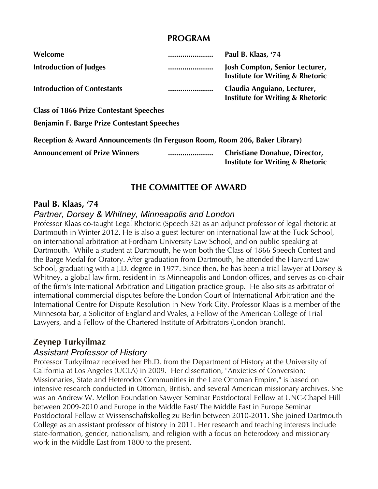#### **PROGRAM**

| Welcome                                                                                                                                                                                                                                                                                                           | Paul B. Klaas, '74                                                                |
|-------------------------------------------------------------------------------------------------------------------------------------------------------------------------------------------------------------------------------------------------------------------------------------------------------------------|-----------------------------------------------------------------------------------|
| <b>Introduction of Judges</b>                                                                                                                                                                                                                                                                                     | <br>Josh Compton, Senior Lecturer,<br><b>Institute for Writing &amp; Rhetoric</b> |
| <b>Introduction of Contestants</b>                                                                                                                                                                                                                                                                                | <br>Claudia Anguiano, Lecturer,<br><b>Institute for Writing &amp; Rhetoric</b>    |
| $\mathcal{L}$ and $\mathcal{L}$ and $\mathcal{L}$ and $\mathcal{L}$ and $\mathcal{L}$ and $\mathcal{L}$ and $\mathcal{L}$ and $\mathcal{L}$ and $\mathcal{L}$ and $\mathcal{L}$ and $\mathcal{L}$ and $\mathcal{L}$ and $\mathcal{L}$ and $\mathcal{L}$ and $\mathcal{L}$ and $\mathcal{L}$ and $\mathcal{L}$ and |                                                                                   |

**Class of 1866 Prize Contestant Speeches**

**Benjamin F. Barge Prize Contestant Speeches**

| Reception & Award Announcements (In Ferguson Room, Room 206, Baker Library) |  |                                                                                     |  |
|-----------------------------------------------------------------------------|--|-------------------------------------------------------------------------------------|--|
| <b>Announcement of Prize Winners</b>                                        |  | <b>Christiane Donahue, Director,</b><br><b>Institute for Writing &amp; Rhetoric</b> |  |

## **THE COMMITTEE OF AWARD**

#### **Paul B. Klaas, '74**

#### *Partner, Dorsey & Whitney, Minneapolis and London*

Professor Klaas co-taught Legal Rhetoric (Speech 32) as an adjunct professor of legal rhetoric at Dartmouth in Winter 2012. He is also a guest lecturer on international law at the Tuck School, on international arbitration at Fordham University Law School, and on public speaking at Dartmouth. While a student at Dartmouth, he won both the Class of 1866 Speech Contest and the Barge Medal for Oratory. After graduation from Dartmouth, he attended the Harvard Law School, graduating with a J.D. degree in 1977. Since then, he has been a trial lawyer at Dorsey & Whitney, a global law firm, resident in its Minneapolis and London offices, and serves as co-chair of the firm's International Arbitration and Litigation practice group. He also sits as arbitrator of international commercial disputes before the London Court of International Arbitration and the International Centre for Dispute Resolution in New York City. Professor Klaas is a member of the Minnesota bar, a Solicitor of England and Wales, a Fellow of the American College of Trial Lawyers, and a Fellow of the Chartered Institute of Arbitrators (London branch).

## **Zeynep Turkyilmaz**

### *Assistant Professor of History*

Professor Turkyilmaz received her Ph.D. from the Department of History at the University of California at Los Angeles (UCLA) in 2009. Her dissertation, "Anxieties of Conversion: Missionaries, State and Heterodox Communities in the Late Ottoman Empire," is based on intensive research conducted in Ottoman, British, and several American missionary archives. She was an Andrew W. Mellon Foundation Sawyer Seminar Postdoctoral Fellow at UNC-Chapel Hill between 2009-2010 and Europe in the Middle East/ The Middle East in Europe Seminar Postdoctoral Fellow at Wissenschaftskolleg zu Berlin between 2010-2011. She joined Dartmouth College as an assistant professor of history in 2011. Her research and teaching interests include state-formation, gender, nationalism, and religion with a focus on heterodoxy and missionary work in the Middle East from 1800 to the present.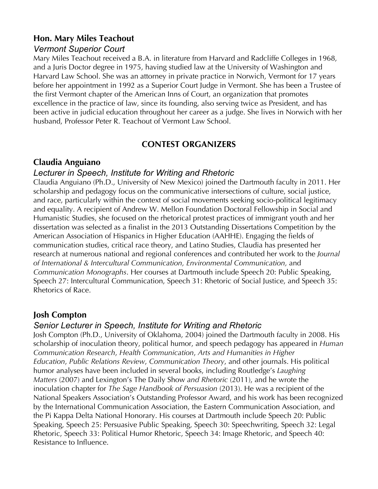## **Hon. Mary Miles Teachout**

#### *Vermont Superior Court*

Mary Miles Teachout received a B.A. in literature from Harvard and Radcliffe Colleges in 1968, and a Juris Doctor degree in 1975, having studied law at the University of Washington and Harvard Law School. She was an attorney in private practice in Norwich, Vermont for 17 years before her appointment in 1992 as a Superior Court Judge in Vermont. She has been a Trustee of the first Vermont chapter of the American Inns of Court, an organization that promotes excellence in the practice of law, since its founding, also serving twice as President, and has been active in judicial education throughout her career as a judge. She lives in Norwich with her husband, Professor Peter R. Teachout of Vermont Law School.

### **CONTEST ORGANIZERS**

## **Claudia Anguiano**

#### *Lecturer in Speech, Institute for Writing and Rhetoric*

Claudia Anguiano (Ph.D., University of New Mexico) joined the Dartmouth faculty in 2011. Her scholarship and pedagogy focus on the communicative intersections of culture, social justice, and race, particularly within the context of social movements seeking socio-political legitimacy and equality. A recipient of Andrew W. Mellon Foundation Doctoral Fellowship in Social and Humanistic Studies, she focused on the rhetorical protest practices of immigrant youth and her dissertation was selected as a finalist in the 2013 Outstanding Dissertations Competition by the American Association of Hispanics in Higher Education (AAHHE). Engaging the fields of communication studies, critical race theory, and Latino Studies, Claudia has presented her research at numerous national and regional conferences and contributed her work to the *Journal of International & Intercultural Communication, Environmental Communication,* and *Communication Monographs*. Her courses at Dartmouth include Speech 20: Public Speaking, Speech 27: Intercultural Communication, Speech 31: Rhetoric of Social Justice, and Speech 35: Rhetorics of Race.

## **Josh Compton**

#### *Senior Lecturer in Speech, Institute for Writing and Rhetoric*

Josh Compton (Ph.D., University of Oklahoma, 2004) joined the Dartmouth faculty in 2008. His scholarship of inoculation theory, political humor, and speech pedagogy has appeared in *Human Communication Research*, *Health Communication*, *Arts and Humanities in Higher Education*, *Public Relations Review*, *Communication Theory*, and other journals. His political humor analyses have been included in several books, including Routledge's *Laughing Matters* (2007) and Lexington's The Daily Show *and Rhetoric* (2011), and he wrote the inoculation chapter for *The Sage Handbook of Persuasion* (2013). He was a recipient of the National Speakers Association's Outstanding Professor Award, and his work has been recognized by the International Communication Association, the Eastern Communication Association, and the Pi Kappa Delta National Honorary. His courses at Dartmouth include Speech 20: Public Speaking, Speech 25: Persuasive Public Speaking, Speech 30: Speechwriting, Speech 32: Legal Rhetoric, Speech 33: Political Humor Rhetoric, Speech 34: Image Rhetoric, and Speech 40: Resistance to Influence.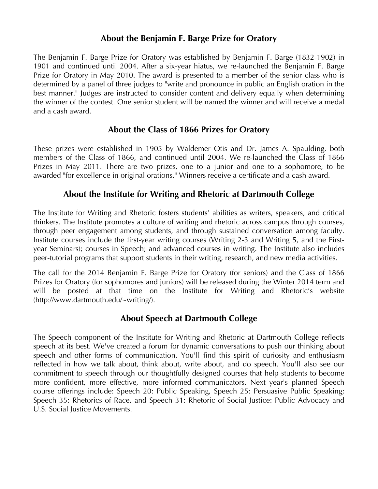## **About the Benjamin F. Barge Prize for Oratory**

The Benjamin F. Barge Prize for Oratory was established by Benjamin F. Barge (1832-1902) in 1901 and continued until 2004. After a six-year hiatus, we re-launched the Benjamin F. Barge Prize for Oratory in May 2010. The award is presented to a member of the senior class who is determined by a panel of three judges to "write and pronounce in public an English oration in the best manner." Judges are instructed to consider content and delivery equally when determining the winner of the contest. One senior student will be named the winner and will receive a medal and a cash award.

## **About the Class of 1866 Prizes for Oratory**

These prizes were established in 1905 by Waldemer Otis and Dr. James A. Spaulding, both members of the Class of 1866, and continued until 2004. We re-launched the Class of 1866 Prizes in May 2011. There are two prizes, one to a junior and one to a sophomore, to be awarded "for excellence in original orations." Winners receive a certificate and a cash award.

## **About the Institute for Writing and Rhetoric at Dartmouth College**

The Institute for Writing and Rhetoric fosters students' abilities as writers, speakers, and critical thinkers. The Institute promotes a culture of writing and rhetoric across campus through courses, through peer engagement among students, and through sustained conversation among faculty. Institute courses include the first-year writing courses (Writing 2-3 and Writing 5, and the Firstyear Seminars); courses in Speech; and advanced courses in writing. The Institute also includes peer-tutorial programs that support students in their writing, research, and new media activities.

The call for the 2014 Benjamin F. Barge Prize for Oratory (for seniors) and the Class of 1866 Prizes for Oratory (for sophomores and juniors) will be released during the Winter 2014 term and will be posted at that time on the Institute for Writing and Rhetoric's website (http://www.dartmouth.edu/~writing/).

## **About Speech at Dartmouth College**

The Speech component of the Institute for Writing and Rhetoric at Dartmouth College reflects speech at its best. We've created a forum for dynamic conversations to push our thinking about speech and other forms of communication. You'll find this spirit of curiosity and enthusiasm reflected in how we talk about, think about, write about, and do speech. You'll also see our commitment to speech through our thoughtfully designed courses that help students to become more confident, more effective, more informed communicators. Next year's planned Speech course offerings include: Speech 20: Public Speaking, Speech 25: Persuasive Public Speaking; Speech 35: Rhetorics of Race, and Speech 31: Rhetoric of Social Justice: Public Advocacy and U.S. Social Justice Movements.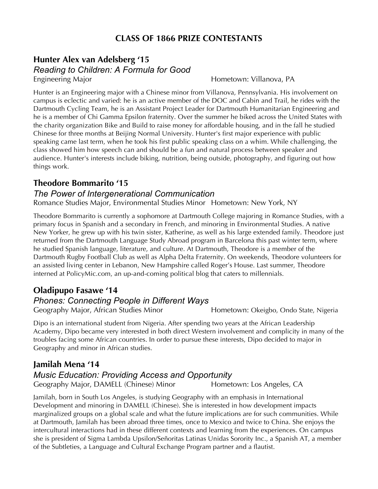## **CLASS OF 1866 PRIZE CONTESTANTS**

## **Hunter Alex van Adelsberg '15** *Reading to Children: A Formula for Good*

Engineering Major **Hometown: Villanova, PA** 

Hunter is an Engineering major with a Chinese minor from Villanova, Pennsylvania. His involvement on campus is eclectic and varied: he is an active member of the DOC and Cabin and Trail, he rides with the Dartmouth Cycling Team, he is an Assistant Project Leader for Dartmouth Humanitarian Engineering and he is a member of Chi Gamma Epsilon fraternity. Over the summer he biked across the United States with the charity organization Bike and Build to raise money for affordable housing, and in the fall he studied Chinese for three months at Beijing Normal University. Hunter's first major experience with public speaking came last term, when he took his first public speaking class on a whim. While challenging, the class showed him how speech can and should be a fun and natural process between speaker and audience. Hunter's interests include biking, nutrition, being outside, photography, and figuring out how things work.

#### **Theodore Bommarito '15**

#### *The Power of Intergenerational Communication*

Romance Studies Major, Environmental Studies Minor Hometown: New York, NY

Theodore Bommarito is currently a sophomore at Dartmouth College majoring in Romance Studies, with a primary focus in Spanish and a secondary in French, and minoring in Environmental Studies. A native New Yorker, he grew up with his twin sister, Katherine, as well as his large extended family. Theodore just returned from the Dartmouth Language Study Abroad program in Barcelona this past winter term, where he studied Spanish language, literature, and culture. At Dartmouth, Theodore is a member of the Dartmouth Rugby Football Club as well as Alpha Delta Fraternity. On weekends, Theodore volunteers for an assisted living center in Lebanon, New Hampshire called Roger's House. Last summer, Theodore interned at PolicyMic.com, an up-and-coming political blog that caters to millennials.

#### **Oladipupo Fasawe '14** *Phones: Connecting People in Different Ways*

Geography Major, African Studies Minor **Hometown: Okeigbo, Ondo State, Nigeria** 

Dipo is an international student from Nigeria. After spending two years at the African Leadership Academy, Dipo became very interested in both direct Western involvement and complicity in many of the troubles facing some African countries. In order to pursue these interests, Dipo decided to major in Geography and minor in African studies.

## **Jamilah Mena '14** *Music Education: Providing Access and Opportunity*

Geography Major, DAMELL (Chinese) Minor Hometown: Los Angeles, CA

Jamilah, born in South Los Angeles, is studying Geography with an emphasis in International Development and minoring in DAMELL (Chinese). She is interested in how development impacts marginalized groups on a global scale and what the future implications are for such communities. While at Dartmouth, Jamilah has been abroad three times, once to Mexico and twice to China. She enjoys the intercultural interactions had in these different contexts and learning from the experiences. On campus she is president of Sigma Lambda Upsilon/Señoritas Latinas Unidas Sorority Inc., a Spanish AT, a member of the Subtleties, a Language and Cultural Exchange Program partner and a flautist.